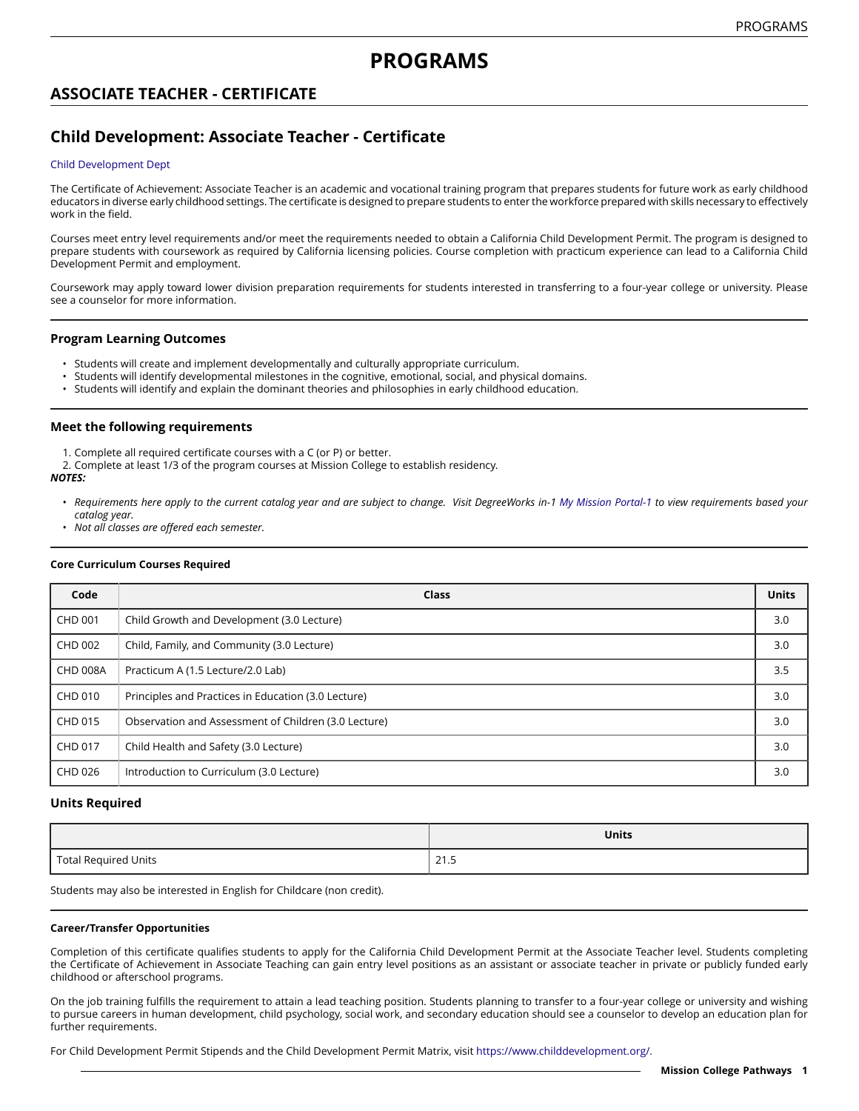# **ASSOCIATE TEACHER - CERTIFICATE**

# **Child Development: Associate Teacher - Certificate**

### Child [Development](https://missioncollege.edu/depts/child-development/index.html) Dept

The Certificate of Achievement: Associate Teacher is an academic and vocational training program that prepares students for future work as early childhood educators in diverse early childhood settings. The certificate is designed to prepare students to enter the workforce prepared with skills necessary to effectively work in the field.

Courses meet entry level requirements and/or meet the requirements needed to obtain a California Child Development Permit. The program is designed to prepare students with coursework as required by California licensing policies. Course completion with practicum experience can lead to a California Child Development Permit and employment.

Coursework may apply toward lower division preparation requirements for students interested in transferring to a four-year college or university. Please see a counselor for more information.

## **Program Learning Outcomes**

- Students will create and implement developmentally and culturally appropriate curriculum.
- Students will identify developmental milestones in the cognitive, emotional, social, and physical domains.
- Students will identify and explain the dominant theories and philosophies in early childhood education.

## **Meet the following requirements**

- 1. Complete all required certificate courses with a C (or P) or better.
- 2. Complete at least 1/3 of the program courses at Mission College to establish residency.

### *NOTES:*

- Requirements here apply to the current catalog year and are subject to change. Visit DegreeWorks in-1 [My Mission Portal-1](https://wvmccd.sharepoint.com/sites/MCPortal) to view requirements based your *catalog year.*
- *Not all classes are offered each semester.*

### **Core Curriculum Courses Required**

| Code            | Class                                                | <b>Units</b> |
|-----------------|------------------------------------------------------|--------------|
| <b>CHD 001</b>  | Child Growth and Development (3.0 Lecture)           | 3.0          |
| CHD 002         | Child, Family, and Community (3.0 Lecture)           | 3.0          |
| <b>CHD 008A</b> | Practicum A (1.5 Lecture/2.0 Lab)                    | 3.5          |
| CHD 010         | Principles and Practices in Education (3.0 Lecture)  | 3.0          |
| CHD 015         | Observation and Assessment of Children (3.0 Lecture) | 3.0          |
| <b>CHD 017</b>  | Child Health and Safety (3.0 Lecture)                | 3.0          |
| CHD 026         | Introduction to Curriculum (3.0 Lecture)             | 3.0          |

## **Units Required**

|                             | <b>Units</b>  |
|-----------------------------|---------------|
| <b>Total Required Units</b> | 21E<br>د. ا ∠ |

Students may also be interested in English for Childcare (non credit).

### **Career/Transfer Opportunities**

Completion of this certificate qualifies students to apply for the California Child Development Permit at the Associate Teacher level. Students completing the Certificate of Achievement in Associate Teaching can gain entry level positions as an assistant or associate teacher in private or publicly funded early childhood or afterschool programs.

On the job training fulfills the requirement to attain a lead teaching position. Students planning to transfer to a four-year college or university and wishing to pursue careers in human development, child psychology, social work, and secondary education should see a counselor to develop an education plan for further requirements.

For Child Development Permit Stipends and the Child Development Permit Matrix, visit [https://www.childdevelopment.org/.](https://www.childdevelopment.org/docs/default-source/pdfs/permit_matrix_12-2018.pdf?sfvrsn=e8ce375c_2)